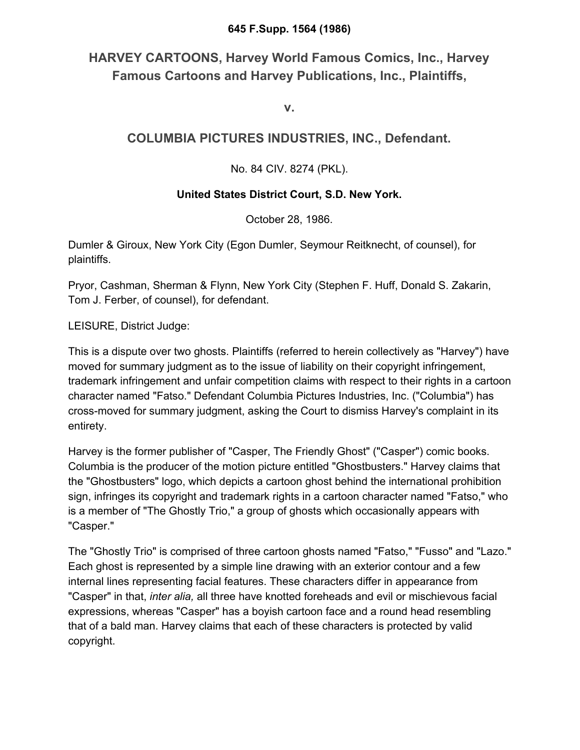#### **645 F.Supp. 1564 (1986)**

# **HARVEY CARTOONS, Harvey World Famous Comics, Inc., Harvey Famous Cartoons and Harvey Publications, Inc., Plaintiffs,**

**v.**

# **COLUMBIA PICTURES INDUSTRIES, INC., Defendant.**

## No. 84 CIV. 8274 (PKL).

### **United States District Court, S.D. New York.**

October 28, 1986.

Dumler & Giroux, New York City (Egon Dumler, Seymour Reitknecht, of counsel), for plaintiffs.

Pryor, Cashman, Sherman & Flynn, New York City (Stephen F. Huff, Donald S. Zakarin, Tom J. Ferber, of counsel), for defendant.

LEISURE, District Judge:

This is a dispute over two ghosts. Plaintiffs (referred to herein collectively as "Harvey") have moved for summary judgment as to the issue of liability on their copyright infringement, trademark infringement and unfair competition claims with respect to their rights in a cartoon character named "Fatso." Defendant Columbia Pictures Industries, Inc. ("Columbia") has cross-moved for summary judgment, asking the Court to dismiss Harvey's complaint in its entirety.

Harvey is the former publisher of "Casper, The Friendly Ghost" ("Casper") comic books. Columbia is the producer of the motion picture entitled "Ghostbusters." Harvey claims that the "Ghostbusters" logo, which depicts a cartoon ghost behind the international prohibition sign, infringes its copyright and trademark rights in a cartoon character named "Fatso," who is a member of "The Ghostly Trio," a group of ghosts which occasionally appears with "Casper."

The "Ghostly Trio" is comprised of three cartoon ghosts named "Fatso," "Fusso" and "Lazo." Each ghost is represented by a simple line drawing with an exterior contour and a few internal lines representing facial features. These characters differ in appearance from "Casper" in that, *inter alia,* all three have knotted foreheads and evil or mischievous facial expressions, whereas "Casper" has a boyish cartoon face and a round head resembling that of a bald man. Harvey claims that each of these characters is protected by valid copyright.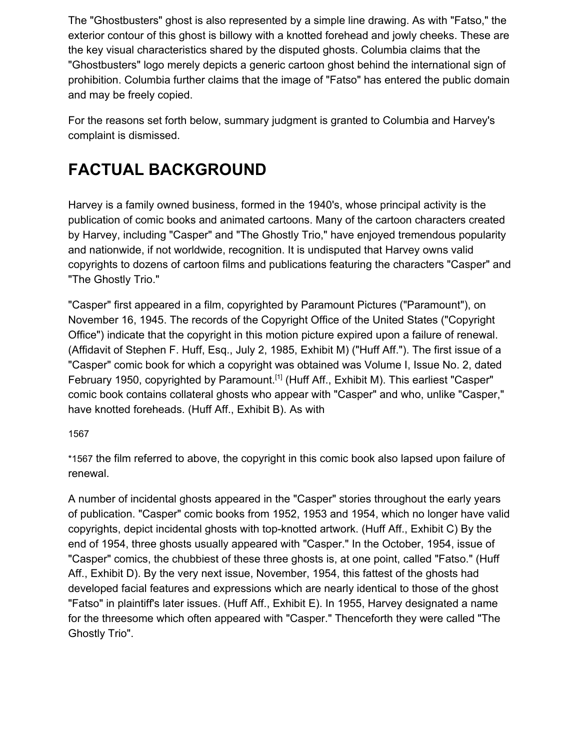The "Ghostbusters" ghost is also represented by a simple line drawing. As with "Fatso," the exterior contour of this ghost is billowy with a knotted forehead and jowly cheeks. These are the key visual characteristics shared by the disputed ghosts. Columbia claims that the "Ghostbusters" logo merely depicts a generic cartoon ghost behind the international sign of prohibition. Columbia further claims that the image of "Fatso" has entered the public domain and may be freely copied.

For the reasons set forth below, summary judgment is granted to Columbia and Harvey's complaint is dismissed.

# **FACTUAL BACKGROUND**

Harvey is a family owned business, formed in the 1940's, whose principal activity is the publication of comic books and animated cartoons. Many of the cartoon characters created by Harvey, including "Casper" and "The Ghostly Trio," have enjoyed tremendous popularity and nationwide, if not worldwide, recognition. It is undisputed that Harvey owns valid copyrights to dozens of cartoon films and publications featuring the characters "Casper" and "The Ghostly Trio."

"Casper" first appeared in a film, copyrighted by Paramount Pictures ("Paramount"), on November 16, 1945. The records of the Copyright Office of the United States ("Copyright Office") indicate that the copyright in this motion picture expired upon a failure of renewal. (Affidavit of Stephen F. Huff, Esq., July 2, 1985, Exhibit M) ("Huff Aff."). The first issue of a "Casper" comic book for which a copyright was obtained was Volume I, Issue No. 2, dated February 1950, copyrighted by Paramount.<sup>[1]</sup> (Huff Aff., Exhibit M). This earliest "Casper" comic book contains collateral ghosts who appear with "Casper" and who, unlike "Casper," have knotted foreheads. (Huff Aff., Exhibit B). As with

#### 156[7](https://scholar.google.com/scholar_case?case=1984718000534919691&q=ghostbusters+2&hl=en&as_sdt=6,33#p1567)

\*1567 the film referred to above, the copyright in this comic book also lapsed upon failure of renewal.

A number of incidental ghosts appeared in the "Casper" stories throughout the early years of publication. "Casper" comic books from 1952, 1953 and 1954, which no longer have valid copyrights, depict incidental ghosts with top-knotted artwork. (Huff Aff., Exhibit C) By the end of 1954, three ghosts usually appeared with "Casper." In the October, 1954, issue of "Casper" comics, the chubbiest of these three ghosts is, at one point, called "Fatso." (Huff Aff., Exhibit D). By the very next issue, November, 1954, this fattest of the ghosts had developed facial features and expressions which are nearly identical to those of the ghost "Fatso" in plaintiff's later issues. (Huff Aff., Exhibit E). In 1955, Harvey designated a name for the threesome which often appeared with "Casper." Thenceforth they were called "The Ghostly Trio".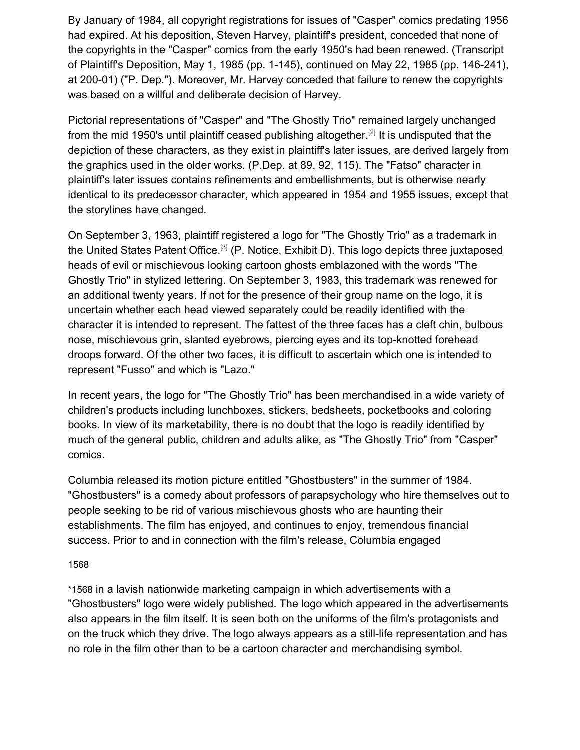By January of 1984, all copyright registrations for issues of "Casper" comics predating 1956 had expired. At his deposition, Steven Harvey, plaintiff's president, conceded that none of the copyrights in the "Casper" comics from the early 1950's had been renewed. (Transcript of Plaintiff's Deposition, May 1, 1985 (pp. 1-145), continued on May 22, 1985 (pp. 146-241), at 200-01) ("P. Dep."). Moreover, Mr. Harvey conceded that failure to renew the copyrights was based on a willful and deliberate decision of Harvey.

Pictorial representations of "Casper" and "The Ghostly Trio" remained largely unchanged from the mid 1950's until plaintiff ceased publishing altogether.<sup>[2]</sup> It is undisputed that the depiction of these characters, as they exist in plaintiff's later issues, are derived largely from the graphics used in the older works. (P.Dep. at 89, 92, 115). The "Fatso" character in plaintiff's later issues contains refinements and embellishments, but is otherwise nearly identical to its predecessor character, which appeared in 1954 and 1955 issues, except that the storylines have changed.

On September 3, 1963, plaintiff registered a logo for "The Ghostly Trio" as a trademark in the United States Patent Office.<sup>[3]</sup> (P. Notice, Exhibit D). This logo depicts three juxtaposed heads of evil or mischievous looking cartoon ghosts emblazoned with the words "The Ghostly Trio" in stylized lettering. On September 3, 1983, this trademark was renewed for an additional twenty years. If not for the presence of their group name on the logo, it is uncertain whether each head viewed separately could be readily identified with the character it is intended to represent. The fattest of the three faces has a cleft chin, bulbous nose, mischievous grin, slanted eyebrows, piercing eyes and its top-knotted forehead droops forward. Of the other two faces, it is difficult to ascertain which one is intended to represent "Fusso" and which is "Lazo."

In recent years, the logo for "The Ghostly Trio" has been merchandised in a wide variety of children's products including lunchboxes, stickers, bedsheets, pocketbooks and coloring books. In view of its marketability, there is no doubt that the logo is readily identified by much of the general public, children and adults alike, as "The Ghostly Trio" from "Casper" comics.

Columbia released its motion picture entitled "Ghostbusters" in the summer of 1984. "Ghostbusters" is a comedy about professors of parapsychology who hire themselves out to people seeking to be rid of various mischievous ghosts who are haunting their establishments. The film has enjoyed, and continues to enjoy, tremendous financial success. Prior to and in connection with the film's release, Columbia engaged

#### 156[8](https://scholar.google.com/scholar_case?case=1984718000534919691&q=ghostbusters+2&hl=en&as_sdt=6,33#p1568)

\*1568 in a lavish nationwide marketing campaign in which advertisements with a "Ghostbusters" logo were widely published. The logo which appeared in the advertisements also appears in the film itself. It is seen both on the uniforms of the film's protagonists and on the truck which they drive. The logo always appears as a still-life representation and has no role in the film other than to be a cartoon character and merchandising symbol.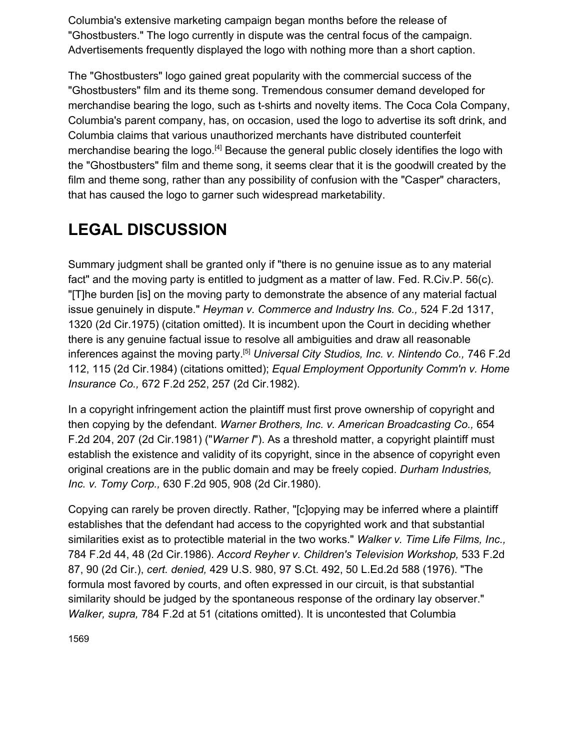Columbia's extensive marketing campaign began months before the release of "Ghostbusters." The logo currently in dispute was the central focus of the campaign. Advertisements frequently displayed the logo with nothing more than a short caption.

The "Ghostbusters" logo gained great popularity with the commercial success of the "Ghostbusters" film and its theme song. Tremendous consumer demand developed for merchandise bearing the logo, such as t-shirts and novelty items. The Coca Cola Company, Columbia's parent company, has, on occasion, used the logo to advertise its soft drink, and Columbia claims that various unauthorized merchants have distributed counterfeit merchandise bearing the logo.<sup>[4]</sup> Because the general public closely identifies the logo with the "Ghostbusters" film and theme song, it seems clear that it is the goodwill created by the film and theme song, rather than any possibility of confusion with the "Casper" characters, that has caused the logo to garner such widespread marketability.

# **LEGAL DISCUSSION**

Summary judgment shall be granted only if "there is no genuine issue as to any material fact" and the moving party is entitled to judgment as a matter of law. Fed. R.Civ.P. 56(c). "[T]he burden [is] on the moving party to demonstrate the absence of any material factual issue genuinely in dispute." *Heyman v. Commerce and Industry Ins. Co.,* 524 F.2d 1317, 1320 (2d Cir.1975) (citation omitted). It is incumbent upon the Court in deciding whether there is any genuine factual issue to resolve all ambiguities and draw all reasonable inferences against the moving party.[5] *Universal City Studios, Inc. v. Nintendo Co.,* 746 F.2d 112, 115 (2d Cir.1984) (citations omitted); *Equal Employment Opportunity Comm'n v. Home Insurance Co.,* 672 F.2d 252, 257 (2d Cir.1982).

In a copyright infringement action the plaintiff must first prove ownership of copyright and then copying by the defendant. *Warner Brothers, Inc. v. American Broadcasting Co.,* 654 F.2d 204, 207 (2d Cir.1981) ("*Warner I*"). As a threshold matter, a copyright plaintiff must establish the existence and validity of its copyright, since in the absence of copyright even original creations are in the public domain and may be freely copied. *Durham Industries, Inc. v. Tomy Corp.,* 630 F.2d 905, 908 (2d Cir.1980).

Copying can rarely be proven directly. Rather, "[c]opying may be inferred where a plaintiff establishes that the defendant had access to the copyrighted work and that substantial similarities exist as to protectible material in the two works." *Walker v. Time Life Films, Inc.,* 784 F.2d 44, 48 (2d Cir.1986). *Accord Reyher v. Children's Television Workshop,* 533 F.2d 87, 90 (2d Cir.), *cert. denied,* 429 U.S. 980, 97 S.Ct. 492, 50 L.Ed.2d 588 (1976). "The formula most favored by courts, and often expressed in our circuit, is that substantial similarity should be judged by the spontaneous response of the ordinary lay observer." *Walker, supra,* 784 F.2d at 51 (citations omitted). It is uncontested that Columbia

156[9](https://scholar.google.com/scholar_case?case=1984718000534919691&q=ghostbusters+2&hl=en&as_sdt=6,33#p1569)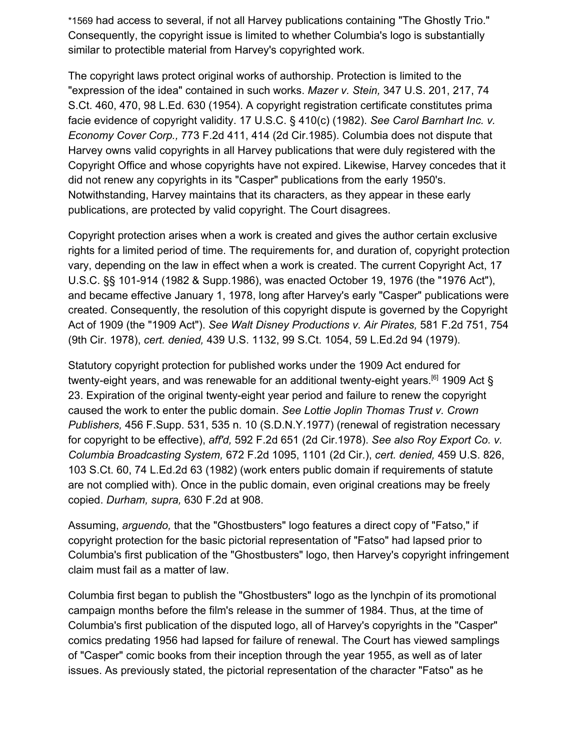\*1569 had access to several, if not all Harvey publications containing "The Ghostly Trio." Consequently, the copyright issue is limited to whether Columbia's logo is substantially similar to protectible material from Harvey's copyrighted work.

The copyright laws protect original works of authorship. Protection is limited to the "expression of the idea" contained in such works. *Mazer v. Stein,* 347 U.S. 201, 217, 74 S.Ct. 460, 470, 98 L.Ed. 630 (1954). A copyright registration certificate constitutes prima facie evidence of copyright validity. 17 U.S.C. § 410(c) (1982). *See Carol Barnhart Inc. v. Economy Cover Corp.,* 773 F.2d 411, 414 (2d Cir.1985). Columbia does not dispute that Harvey owns valid copyrights in all Harvey publications that were duly registered with the Copyright Office and whose copyrights have not expired. Likewise, Harvey concedes that it did not renew any copyrights in its "Casper" publications from the early 1950's. Notwithstanding, Harvey maintains that its characters, as they appear in these early publications, are protected by valid copyright. The Court disagrees.

Copyright protection arises when a work is created and gives the author certain exclusive rights for a limited period of time. The requirements for, and duration of, copyright protection vary, depending on the law in effect when a work is created. The current Copyright Act, 17 U.S.C. §§ 101-914 (1982 & Supp.1986), was enacted October 19, 1976 (the "1976 Act"), and became effective January 1, 1978, long after Harvey's early "Casper" publications were created. Consequently, the resolution of this copyright dispute is governed by the Copyright Act of 1909 (the "1909 Act"). *See Walt Disney Productions v. Air Pirates,* 581 F.2d 751, 754 (9th Cir. 1978), *cert. denied,* 439 U.S. 1132, 99 S.Ct. 1054, 59 L.Ed.2d 94 (1979).

Statutory copyright protection for published works under the 1909 Act endured for twenty-eight years, and was renewable for an additional twenty-eight years.<sup>[6]</sup> 1909 Act § 23. Expiration of the original twenty-eight year period and failure to renew the copyright caused the work to enter the public domain. *See Lottie Joplin Thomas Trust v. Crown Publishers,* 456 F.Supp. 531, 535 n. 10 (S.D.N.Y.1977) (renewal of registration necessary for copyright to be effective), *aff'd,* 592 F.2d 651 (2d Cir.1978). *See also Roy Export Co. v. Columbia Broadcasting System,* 672 F.2d 1095, 1101 (2d Cir.), *cert. denied,* 459 U.S. 826, 103 S.Ct. 60, 74 L.Ed.2d 63 (1982) (work enters public domain if requirements of statute are not complied with). Once in the public domain, even original creations may be freely copied. *Durham, supra,* 630 F.2d at 908.

Assuming, *arguendo,* that the "Ghostbusters" logo features a direct copy of "Fatso," if copyright protection for the basic pictorial representation of "Fatso" had lapsed prior to Columbia's first publication of the "Ghostbusters" logo, then Harvey's copyright infringement claim must fail as a matter of law.

Columbia first began to publish the "Ghostbusters" logo as the lynchpin of its promotional campaign months before the film's release in the summer of 1984. Thus, at the time of Columbia's first publication of the disputed logo, all of Harvey's copyrights in the "Casper" comics predating 1956 had lapsed for failure of renewal. The Court has viewed samplings of "Casper" comic books from their inception through the year 1955, as well as of later issues. As previously stated, the pictorial representation of the character "Fatso" as he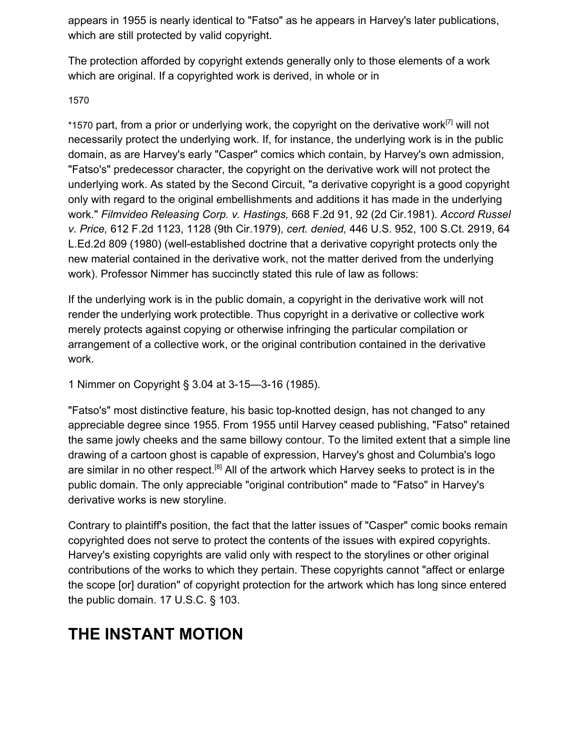appears in 1955 is nearly identical to "Fatso" as he appears in Harvey's later publications, which are still protected by valid copyright.

The protection afforded by copyright extends generally only to those elements of a work which are original. If a copyrighted work is derived, in whole or in

#### 157[0](https://scholar.google.com/scholar_case?case=1984718000534919691&q=ghostbusters+2&hl=en&as_sdt=6,33#p1570)

\*1570 part, from a prior or underlying work, the copyright on the derivative work<sup>[7]</sup> will not necessarily protect the underlying work. If, for instance, the underlying work is in the public domain, as are Harvey's early "Casper" comics which contain, by Harvey's own admission, "Fatso's" predecessor character, the copyright on the derivative work will not protect the underlying work. As stated by the Second Circuit, "a derivative copyright is a good copyright only with regard to the original embellishments and additions it has made in the underlying work." *Filmvideo Releasing Corp. v. Hastings,* 668 F.2d 91, 92 (2d Cir.1981). *Accord Russel v. Price,* 612 F.2d 1123, 1128 (9th Cir.1979), *cert. denied,* 446 U.S. 952, 100 S.Ct. 2919, 64 L.Ed.2d 809 (1980) (well-established doctrine that a derivative copyright protects only the new material contained in the derivative work, not the matter derived from the underlying work). Professor Nimmer has succinctly stated this rule of law as follows:

If the underlying work is in the public domain, a copyright in the derivative work will not render the underlying work protectible. Thus copyright in a derivative or collective work merely protects against copying or otherwise infringing the particular compilation or arrangement of a collective work, or the original contribution contained in the derivative work.

1 Nimmer on Copyright § 3.04 at 3-15—3-16 (1985).

"Fatso's" most distinctive feature, his basic top-knotted design, has not changed to any appreciable degree since 1955. From 1955 until Harvey ceased publishing, "Fatso" retained the same jowly cheeks and the same billowy contour. To the limited extent that a simple line drawing of a cartoon ghost is capable of expression, Harvey's ghost and Columbia's logo are similar in no other respect.<sup>[8]</sup> All of the artwork which Harvey seeks to protect is in the public domain. The only appreciable "original contribution" made to "Fatso" in Harvey's derivative works is new storyline.

Contrary to plaintiff's position, the fact that the latter issues of "Casper" comic books remain copyrighted does not serve to protect the contents of the issues with expired copyrights. Harvey's existing copyrights are valid only with respect to the storylines or other original contributions of the works to which they pertain. These copyrights cannot "affect or enlarge the scope [or] duration" of copyright protection for the artwork which has long since entered the public domain. 17 U.S.C. § 103.

# **THE INSTANT MOTION**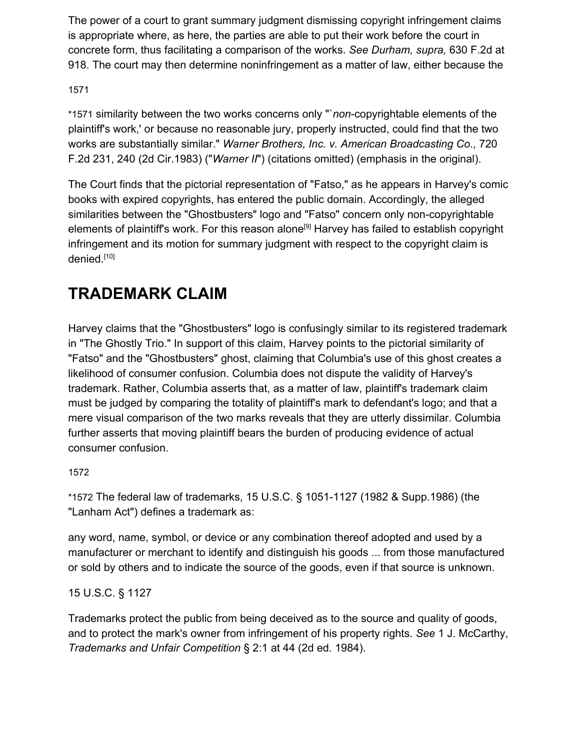The power of a court to grant summary judgment dismissing copyright infringement claims is appropriate where, as here, the parties are able to put their work before the court in concrete form, thus facilitating a comparison of the works. *See Durham, supra,* 630 F.2d at 918. The court may then determine noninfringement as a matter of law, either because the

### 157[1](https://scholar.google.com/scholar_case?case=1984718000534919691&q=ghostbusters+2&hl=en&as_sdt=6,33#p1571)

\*1571 similarity between the two works concerns only "`*non*-copyrightable elements of the plaintiff's work,' or because no reasonable jury, properly instructed, could find that the two works are substantially similar." *Warner Brothers, Inc. v. American Broadcasting Co.,* 720 F.2d 231, 240 (2d Cir.1983) ("*Warner II*") (citations omitted) (emphasis in the original).

The Court finds that the pictorial representation of "Fatso," as he appears in Harvey's comic books with expired copyrights, has entered the public domain. Accordingly, the alleged similarities between the "Ghostbusters" logo and "Fatso" concern only non-copyrightable elements of plaintiff's work. For this reason alone<sup>[9]</sup> Harvey has failed to establish copyright infringement and its motion for summary judgment with respect to the copyright claim is denied.<sup>[10]</sup>

# **TRADEMARK CLAIM**

Harvey claims that the "Ghostbusters" logo is confusingly similar to its registered trademark in "The Ghostly Trio." In support of this claim, Harvey points to the pictorial similarity of "Fatso" and the "Ghostbusters" ghost, claiming that Columbia's use of this ghost creates a likelihood of consumer confusion. Columbia does not dispute the validity of Harvey's trademark. Rather, Columbia asserts that, as a matter of law, plaintiff's trademark claim must be judged by comparing the totality of plaintiff's mark to defendant's logo; and that a mere visual comparison of the two marks reveals that they are utterly dissimilar. Columbia further asserts that moving plaintiff bears the burden of producing evidence of actual consumer confusion.

### 157[2](https://scholar.google.com/scholar_case?case=1984718000534919691&q=ghostbusters+2&hl=en&as_sdt=6,33#p1572)

\*1572 The federal law of trademarks, 15 U.S.C. § 1051-1127 (1982 & Supp.1986) (the "Lanham Act") defines a trademark as:

any word, name, symbol, or device or any combination thereof adopted and used by a manufacturer or merchant to identify and distinguish his goods ... from those manufactured or sold by others and to indicate the source of the goods, even if that source is unknown.

### 15 U.S.C. § 1127

Trademarks protect the public from being deceived as to the source and quality of goods, and to protect the mark's owner from infringement of his property rights. *See* 1 J. McCarthy, *Trademarks and Unfair Competition* § 2:1 at 44 (2d ed. 1984).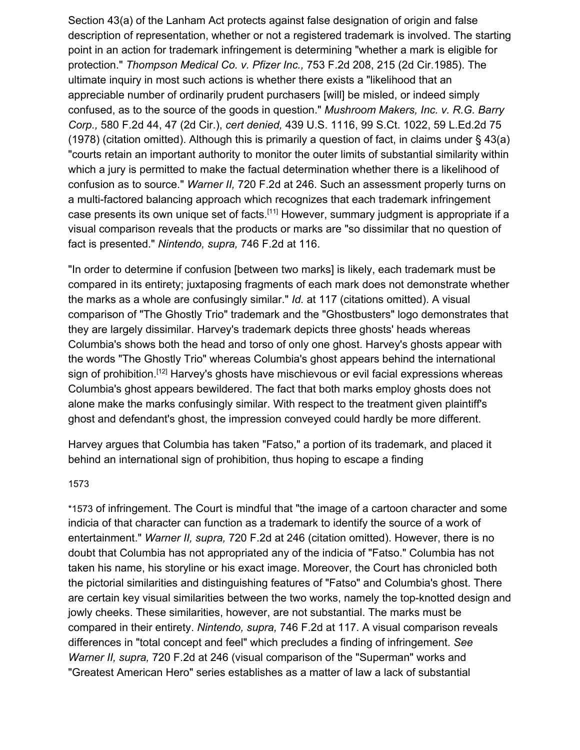Section 43(a) of the Lanham Act protects against false designation of origin and false description of representation, whether or not a registered trademark is involved. The starting point in an action for trademark infringement is determining "whether a mark is eligible for protection." *Thompson Medical Co. v. Pfizer Inc.,* 753 F.2d 208, 215 (2d Cir.1985). The ultimate inquiry in most such actions is whether there exists a "likelihood that an appreciable number of ordinarily prudent purchasers [will] be misled, or indeed simply confused, as to the source of the goods in question." *Mushroom Makers, Inc. v. R.G. Barry Corp.,* 580 F.2d 44, 47 (2d Cir.), *cert denied,* 439 U.S. 1116, 99 S.Ct. 1022, 59 L.Ed.2d 75 (1978) (citation omitted). Although this is primarily a question of fact, in claims under § 43(a) "courts retain an important authority to monitor the outer limits of substantial similarity within which a jury is permitted to make the factual determination whether there is a likelihood of confusion as to source." *Warner II,* 720 F.2d at 246. Such an assessment properly turns on a multi-factored balancing approach which recognizes that each trademark infringement case presents its own unique set of facts.<sup>[11]</sup> However, summary judgment is appropriate if a visual comparison reveals that the products or marks are "so dissimilar that no question of fact is presented." *Nintendo, supra,* 746 F.2d at 116.

"In order to determine if confusion [between two marks] is likely, each trademark must be compared in its entirety; juxtaposing fragments of each mark does not demonstrate whether the marks as a whole are confusingly similar." *Id.* at 117 (citations omitted). A visual comparison of "The Ghostly Trio" trademark and the "Ghostbusters" logo demonstrates that they are largely dissimilar. Harvey's trademark depicts three ghosts' heads whereas Columbia's shows both the head and torso of only one ghost. Harvey's ghosts appear with the words "The Ghostly Trio" whereas Columbia's ghost appears behind the international sign of prohibition.<sup>[12]</sup> Harvey's ghosts have mischievous or evil facial expressions whereas Columbia's ghost appears bewildered. The fact that both marks employ ghosts does not alone make the marks confusingly similar. With respect to the treatment given plaintiff's ghost and defendant's ghost, the impression conveyed could hardly be more different.

Harvey argues that Columbia has taken "Fatso," a portion of its trademark, and placed it behind an international sign of prohibition, thus hoping to escape a finding

#### 157[3](https://scholar.google.com/scholar_case?case=1984718000534919691&q=ghostbusters+2&hl=en&as_sdt=6,33#p1573)

\*1573 of infringement. The Court is mindful that "the image of a cartoon character and some indicia of that character can function as a trademark to identify the source of a work of entertainment." *Warner II, supra,* 720 F.2d at 246 (citation omitted). However, there is no doubt that Columbia has not appropriated any of the indicia of "Fatso." Columbia has not taken his name, his storyline or his exact image. Moreover, the Court has chronicled both the pictorial similarities and distinguishing features of "Fatso" and Columbia's ghost. There are certain key visual similarities between the two works, namely the top-knotted design and jowly cheeks. These similarities, however, are not substantial. The marks must be compared in their entirety. *Nintendo, supra,* 746 F.2d at 117. A visual comparison reveals differences in "total concept and feel" which precludes a finding of infringement. *See Warner II, supra,* 720 F.2d at 246 (visual comparison of the "Superman" works and "Greatest American Hero" series establishes as a matter of law a lack of substantial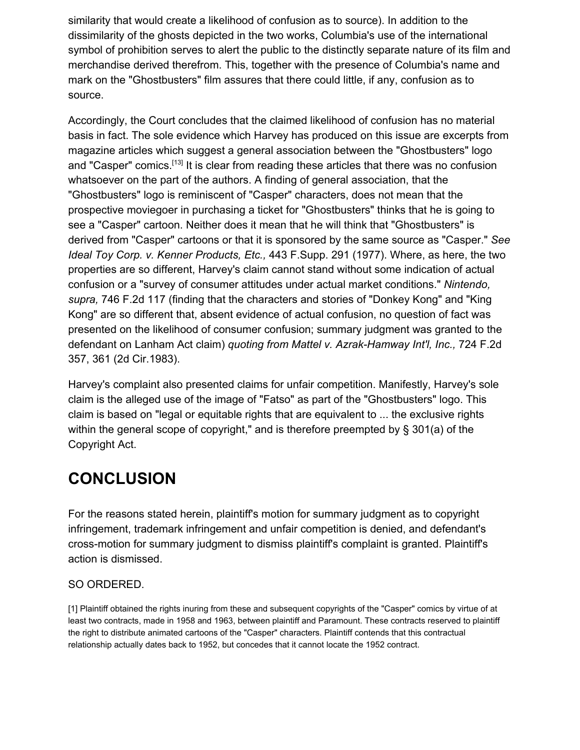similarity that would create a likelihood of confusion as to source). In addition to the dissimilarity of the ghosts depicted in the two works, Columbia's use of the international symbol of prohibition serves to alert the public to the distinctly separate nature of its film and merchandise derived therefrom. This, together with the presence of Columbia's name and mark on the "Ghostbusters" film assures that there could little, if any, confusion as to source.

Accordingly, the Court concludes that the claimed likelihood of confusion has no material basis in fact. The sole evidence which Harvey has produced on this issue are excerpts from magazine articles which suggest a general association between the "Ghostbusters" logo and "Casper" comics.<sup>[13]</sup> It is clear from reading these articles that there was no confusion whatsoever on the part of the authors. A finding of general association, that the "Ghostbusters" logo is reminiscent of "Casper" characters, does not mean that the prospective moviegoer in purchasing a ticket for "Ghostbusters" thinks that he is going to see a "Casper" cartoon. Neither does it mean that he will think that "Ghostbusters" is derived from "Casper" cartoons or that it is sponsored by the same source as "Casper." *See Ideal Toy Corp. v. Kenner Products, Etc.,* 443 F.Supp. 291 (1977). Where, as here, the two properties are so different, Harvey's claim cannot stand without some indication of actual confusion or a "survey of consumer attitudes under actual market conditions." *Nintendo, supra,* 746 F.2d 117 (finding that the characters and stories of "Donkey Kong" and "King Kong" are so different that, absent evidence of actual confusion, no question of fact was presented on the likelihood of consumer confusion; summary judgment was granted to the defendant on Lanham Act claim) *quoting from Mattel v. Azrak-Hamway Int'l, Inc.,* 724 F.2d 357, 361 (2d Cir.1983).

Harvey's complaint also presented claims for unfair competition. Manifestly, Harvey's sole claim is the alleged use of the image of "Fatso" as part of the "Ghostbusters" logo. This claim is based on "legal or equitable rights that are equivalent to ... the exclusive rights within the general scope of copyright," and is therefore preempted by § 301(a) of the Copyright Act.

# **CONCLUSION**

For the reasons stated herein, plaintiff's motion for summary judgment as to copyright infringement, trademark infringement and unfair competition is denied, and defendant's cross-motion for summary judgment to dismiss plaintiff's complaint is granted. Plaintiff's action is dismissed.

### SO ORDERED.

[1] Plaintiff obtained the rights inuring from these and subsequent copyrights of the "Casper" comics by virtue of at least two contracts, made in 1958 and 1963, between plaintiff and Paramount. These contracts reserved to plaintiff the right to distribute animated cartoons of the "Casper" characters. Plaintiff contends that this contractual relationship actually dates back to 1952, but concedes that it cannot locate the 1952 contract.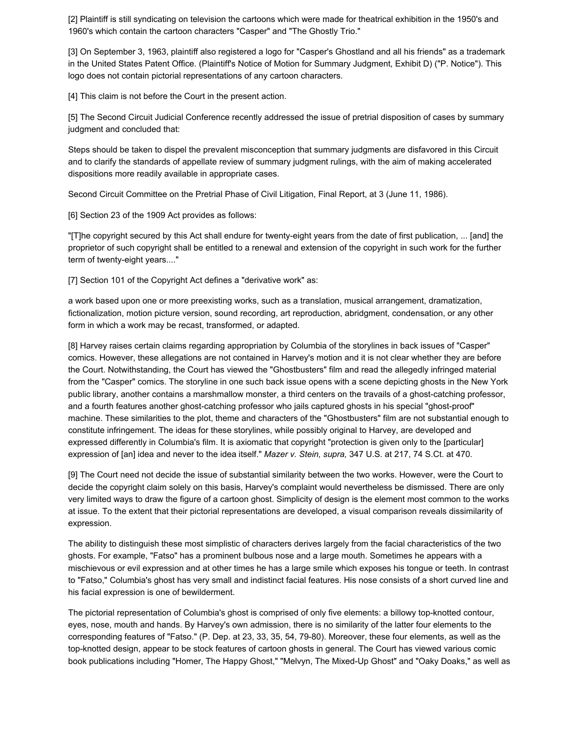[2] Plaintiff is still syndicating on television the cartoons which were made for theatrical exhibition in the 1950's and 1960's which contain the cartoon characters "Casper" and "The Ghostly Trio."

[3] On September 3, 1963, plaintiff also registered a logo for "Casper's Ghostland and all his friends" as a trademark in the United States Patent Office. (Plaintiff's Notice of Motion for Summary Judgment, Exhibit D) ("P. Notice"). This logo does not contain pictorial representations of any cartoon characters.

[4] This claim is not before the Court in the present action.

[5] The Second Circuit Judicial Conference recently addressed the issue of pretrial disposition of cases by summary judgment and concluded that:

Steps should be taken to dispel the prevalent misconception that summary judgments are disfavored in this Circuit and to clarify the standards of appellate review of summary judgment rulings, with the aim of making accelerated dispositions more readily available in appropriate cases.

Second Circuit Committee on the Pretrial Phase of Civil Litigation, Final Report, at 3 (June 11, 1986).

[6] Section 23 of the 1909 Act provides as follows:

"[T]he copyright secured by this Act shall endure for twenty-eight years from the date of first publication, ... [and] the proprietor of such copyright shall be entitled to a renewal and extension of the copyright in such work for the further term of twenty-eight years...."

[7] Section 101 of the Copyright Act defines a "derivative work" as:

a work based upon one or more preexisting works, such as a translation, musical arrangement, dramatization, fictionalization, motion picture version, sound recording, art reproduction, abridgment, condensation, or any other form in which a work may be recast, transformed, or adapted.

[8] Harvey raises certain claims regarding appropriation by Columbia of the storylines in back issues of "Casper" comics. However, these allegations are not contained in Harvey's motion and it is not clear whether they are before the Court. Notwithstanding, the Court has viewed the "Ghostbusters" film and read the allegedly infringed material from the "Casper" comics. The storyline in one such back issue opens with a scene depicting ghosts in the New York public library, another contains a marshmallow monster, a third centers on the travails of a ghost-catching professor, and a fourth features another ghost-catching professor who jails captured ghosts in his special "ghost-proof" machine. These similarities to the plot, theme and characters of the "Ghostbusters" film are not substantial enough to constitute infringement. The ideas for these storylines, while possibly original to Harvey, are developed and expressed differently in Columbia's film. It is axiomatic that copyright "protection is given only to the [particular] expression of [an] idea and never to the idea itself." *Mazer v. Stein, supra,* 347 U.S. at 217, 74 S.Ct. at 470.

[9] The Court need not decide the issue of substantial similarity between the two works. However, were the Court to decide the copyright claim solely on this basis, Harvey's complaint would nevertheless be dismissed. There are only very limited ways to draw the figure of a cartoon ghost. Simplicity of design is the element most common to the works at issue. To the extent that their pictorial representations are developed, a visual comparison reveals dissimilarity of expression.

The ability to distinguish these most simplistic of characters derives largely from the facial characteristics of the two ghosts. For example, "Fatso" has a prominent bulbous nose and a large mouth. Sometimes he appears with a mischievous or evil expression and at other times he has a large smile which exposes his tongue or teeth. In contrast to "Fatso," Columbia's ghost has very small and indistinct facial features. His nose consists of a short curved line and his facial expression is one of bewilderment.

The pictorial representation of Columbia's ghost is comprised of only five elements: a billowy top-knotted contour, eyes, nose, mouth and hands. By Harvey's own admission, there is no similarity of the latter four elements to the corresponding features of "Fatso." (P. Dep. at 23, 33, 35, 54, 79-80). Moreover, these four elements, as well as the top-knotted design, appear to be stock features of cartoon ghosts in general. The Court has viewed various comic book publications including "Homer, The Happy Ghost," "Melvyn, The Mixed-Up Ghost" and "Oaky Doaks," as well as